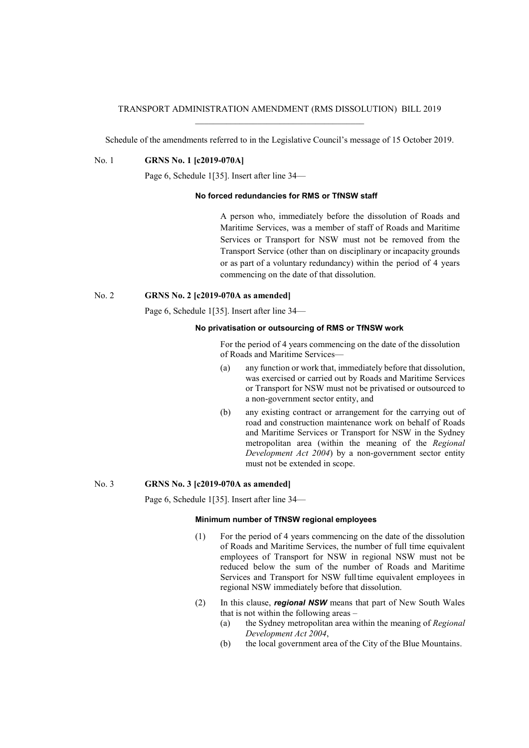## TRANSPORT ADMINISTRATION AMENDMENT (RMS DISSOLUTION) BILL 2019 \_\_\_\_\_\_\_\_\_\_\_\_\_\_\_\_\_\_\_\_\_\_\_\_\_\_\_\_\_\_\_\_\_\_\_\_\_\_

Schedule of the amendments referred to in the Legislative Council's message of 15 October 2019.

No. 1 **GRNS No. 1 [c2019-070A]**

Page 6, Schedule 1[35]. Insert after line 34—

## **No forced redundancies for RMS or TfNSW staff**

A person who, immediately before the dissolution of Roads and Maritime Services, was a member of staff of Roads and Maritime Services or Transport for NSW must not be removed from the Transport Service (other than on disciplinary or incapacity grounds or as part of a voluntary redundancy) within the period of 4 years commencing on the date of that dissolution.

# No. 2 **GRNS No. 2 [c2019-070A as amended]**

Page 6, Schedule 1[35]. Insert after line 34—

#### **No privatisation or outsourcing of RMS or TfNSW work**

For the period of 4 years commencing on the date of the dissolution of Roads and Maritime Services—

- (a) any function or work that, immediately before that dissolution, was exercised or carried out by Roads and Maritime Services or Transport for NSW must not be privatised or outsourced to a non-government sector entity, and
- (b) any existing contract or arrangement for the carrying out of road and construction maintenance work on behalf of Roads and Maritime Services or Transport for NSW in the Sydney metropolitan area (within the meaning of the *Regional Development Act 2004*) by a non-government sector entity must not be extended in scope.

# No. 3 **GRNS No. 3 [c2019-070A as amended]**

Page 6, Schedule 1[35]. Insert after line 34—

### **Minimum number of TfNSW regional employees**

- (1) For the period of 4 years commencing on the date of the dissolution of Roads and Maritime Services, the number of full time equivalent employees of Transport for NSW in regional NSW must not be reduced below the sum of the number of Roads and Maritime Services and Transport for NSW fulltime equivalent employees in regional NSW immediately before that dissolution.
- (2) In this clause, *regional NSW* means that part of New South Wales that is not within the following areas –
	- (a) the Sydney metropolitan area within the meaning of *Regional Development Act 2004*,
	- (b) the local government area of the City of the Blue Mountains.